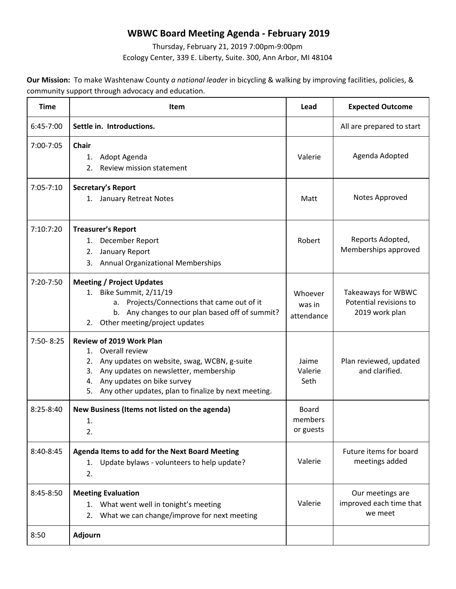## **WBWC Board Meeting Agenda - February 2019**

Thursday, February 21, 2019 7:00pm-9:00pm Ecology Center, 339 E. Liberty, Suite. 300, Ann Arbor, MI 48104

**Our Mission:** To make Washtenaw County *a national leader* in bicycling & walking by improving facilities, policies, & community support through advocacy and education.

| <b>Time</b>   | <b>Item</b>                                                                                                                                                                                                                                                | Lead                                 | <b>Expected Outcome</b>                                        |
|---------------|------------------------------------------------------------------------------------------------------------------------------------------------------------------------------------------------------------------------------------------------------------|--------------------------------------|----------------------------------------------------------------|
| 6:45-7:00     | Settle in. Introductions.                                                                                                                                                                                                                                  |                                      | All are prepared to start                                      |
| 7:00-7:05     | <b>Chair</b><br>Adopt Agenda<br>1.<br>2.<br>Review mission statement                                                                                                                                                                                       | Valerie                              | Agenda Adopted                                                 |
| $7:05 - 7:10$ | Secretary's Report<br>1. January Retreat Notes                                                                                                                                                                                                             | Matt                                 | Notes Approved                                                 |
| 7:10:7:20     | <b>Treasurer's Report</b><br>December Report<br>1.<br>January Report<br>2.<br><b>Annual Organizational Memberships</b><br>3.                                                                                                                               | Robert                               | Reports Adopted,<br>Memberships approved                       |
| $7:20-7:50$   | <b>Meeting / Project Updates</b><br>1. Bike Summit, 2/11/19<br>Projects/Connections that came out of it<br>а.<br>b. Any changes to our plan based off of summit?<br>Other meeting/project updates<br>2.                                                    | Whoever<br>was in<br>attendance      | Takeaways for WBWC<br>Potential revisions to<br>2019 work plan |
| 7:50-8:25     | <b>Review of 2019 Work Plan</b><br>1. Overall review<br>Any updates on website, swag, WCBN, g-suite<br>2.<br>Any updates on newsletter, membership<br>3.<br>Any updates on bike survey<br>4.<br>Any other updates, plan to finalize by next meeting.<br>5. | Jaime<br>Valerie<br>Seth             | Plan reviewed, updated<br>and clarified.                       |
| $8:25 - 8:40$ | New Business (Items not listed on the agenda)<br>1.<br>2.                                                                                                                                                                                                  | <b>Board</b><br>members<br>or guests |                                                                |
| 8:40-8:45     | Agenda Items to add for the Next Board Meeting<br>Update bylaws - volunteers to help update?<br>1.<br>2.                                                                                                                                                   | Valerie                              | Future items for board<br>meetings added                       |
| 8:45-8:50     | <b>Meeting Evaluation</b><br>1. What went well in tonight's meeting<br>What we can change/improve for next meeting<br>2.                                                                                                                                   | Valerie                              | Our meetings are<br>improved each time that<br>we meet         |
| 8:50          | <b>Adjourn</b>                                                                                                                                                                                                                                             |                                      |                                                                |